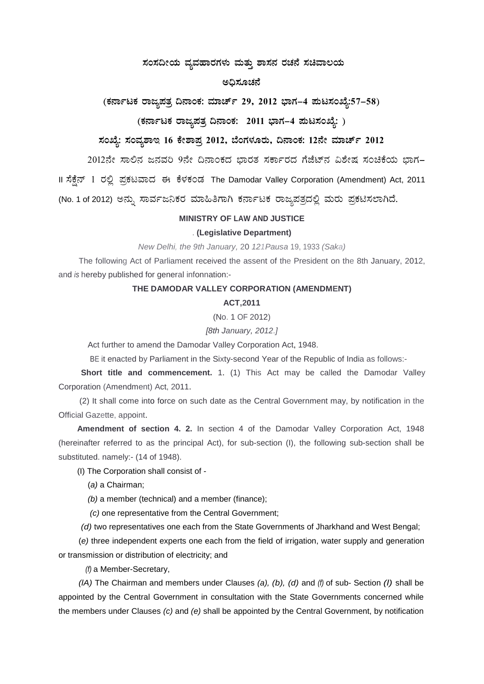### ಸಂಸದೀಯ ವ್ಯವಹಾರಗಳು ಮತ್ತು ಶಾಸನ ರಚನೆ ಸಚಿವಾಲಯ

#### ಅದಿಸೂಚನೆ

### (ಕರ್ನಾಟಕ ರಾಜ್ಯಪತ್ರ ದಿನಾಂಕ: ಮಾರ್ಚ್ 29, 2012 ಭಾಗ–4 ಪುಟಸಂಖ್ಯೆ:57–58)

## (ಕರ್ನಾಟಕ ರಾಜ್ಯಪತ್ರ ದಿನಾಂಕ: 2011 ಭಾಗ–4 ಮಟಸಂಖ್ಯೆ: )

# ಸಂಖ್ಯೆ: ಸಂವ್ನಶಾಇ 16 ಕೇಶಾಪ್ತ 2012, ಬೆಂಗಳೂರು, ದಿನಾಂಕ: 12ನೇ ಮಾರ್ಚ್ 2012

2012ನೇ ಸಾಲಿನ ಜನವರಿ 9ನೇ ದಿನಾಂಕದ ಭಾರತ ಸರ್ಕಾರದ ಗೆಜೆಟ್ ವಿಶೇಷ ಸಂಚಿಕೆಯ ಭಾಗ-

II ಸೆಕ್ಷೆನ್ 1 ರಲ್ಲಿ ಪ್ರಕಟವಾದ ಈ ಕೆಳಕಂಡ The Damodar Valley Corporation (Amendment) Act, 2011

(No. 1 of 2012) ಅನ್ನು ಸಾರ್ವಜನಿಕರ ಮಾಹಿತಿಗಾಗಿ ಕರ್ನಾಟಕ ರಾಜ್ಯಪತ್ರದಲ್ಲಿ ಮರು ಪ್ರಕಟಿಸಲಾಗಿದೆ.

#### **MINISTRY OF LAW AND JUSTICE**

#### . (Legislative Department)

New Delhi, the 9th January, 20 121 Pausa 19, 1933 (Saka)

The following Act of Parliament received the assent of the President on the 8th January, 2012, and is hereby published for general infonnation:-

#### THE DAMODAR VALLEY CORPORATION (AMENDMENT)

#### **ACT,2011**

(No. 1 OF 2012)

[8th January, 2012.]

Act further to amend the Damodar Valley Corporation Act, 1948.

BE it enacted by Parliament in the Sixty-second Year of the Republic of India as follows:-

Short title and commencement. 1. (1) This Act may be called the Damodar Valley Corporation (Amendment) Act, 2011.

(2) It shall come into force on such date as the Central Government may, by notification in the Official Gazette, appoint.

Amendment of section 4. 2. In section 4 of the Damodar Valley Corporation Act, 1948 (hereinafter referred to as the principal Act), for sub-section (I), the following sub-section shall be substituted. namely:- (14 of 1948).

(I) The Corporation shall consist of -

(a) a Chairman:

(b) a member (technical) and a member (finance);

(c) one representative from the Central Government;

(d) two representatives one each from the State Governments of Jharkhand and West Bengal;

(e) three independent experts one each from the field of irrigation, water supply and generation or transmission or distribution of electricity; and

(f) a Member-Secretary,

(IA) The Chairman and members under Clauses (a), (b), (d) and (f) of sub- Section (I) shall be appointed by the Central Government in consultation with the State Governments concerned while the members under Clauses  $(c)$  and  $(e)$  shall be appointed by the Central Government, by notification